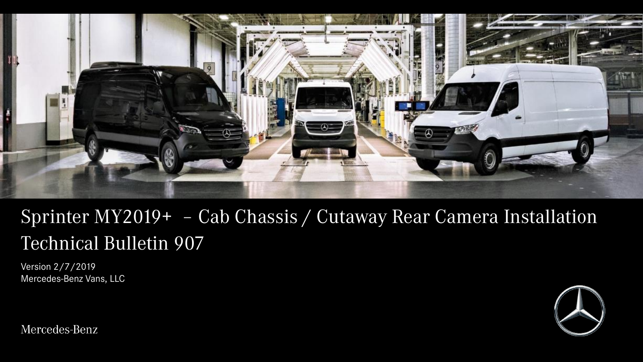

# Sprinter MY2019+ – Cab Chassis / Cutaway Rear Camera Installation Technical Bulletin 907

Version 2/7/2019 Mercedes-Benz Vans, LLC



Mercedes-Benz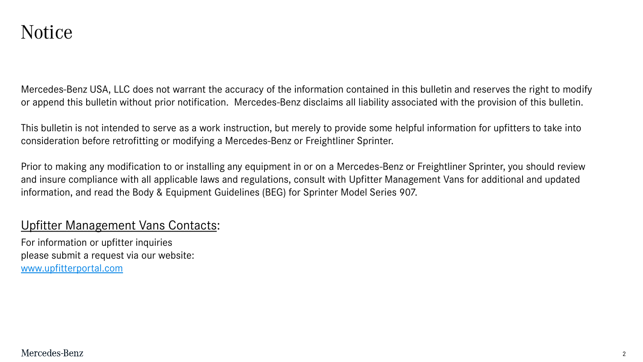#### Notice

Mercedes-Benz USA, LLC does not warrant the accuracy of the information contained in this bulletin and reserves the right to modify or append this bulletin without prior notification. Mercedes-Benz disclaims all liability associated with the provision of this bulletin.

This bulletin is not intended to serve as a work instruction, but merely to provide some helpful information for upfitters to take into consideration before retrofitting or modifying a Mercedes-Benz or Freightliner Sprinter.

Prior to making any modification to or installing any equipment in or on a Mercedes-Benz or Freightliner Sprinter, you should review and insure compliance with all applicable laws and regulations, consult with Upfitter Management Vans for additional and updated information, and read the Body & Equipment Guidelines (BEG) for Sprinter Model Series 907.

#### Upfitter Management Vans Contacts:

For information or upfitter inquiries please submit a request via our website: [www.upfitterportal.com](http://www.upfitterportalcom/)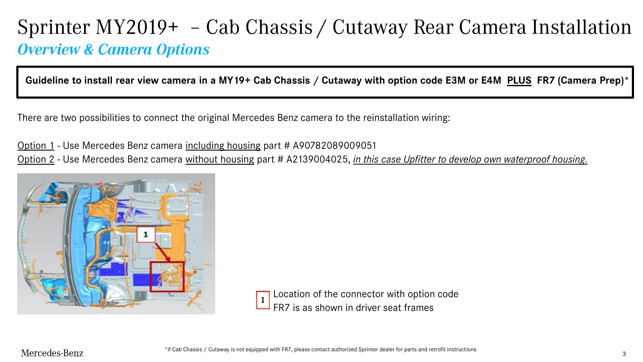## Sprinter MY2019+ – Cab Chassis / Cutaway Rear Camera Installation *Overview & Camera Options*

**Guideline to install rear view camera in a MY19+ Cab Chassis / Cutaway with option code E3M or E4M PLUS FR7 (Camera Prep)\*** 

There are two possibilities to connect the original Mercedes Benz camera to the reinstallation wiring:

Option 1 - Use Mercedes Benz camera including housing part # A90782089009051 Option 2 - Use Mercedes Benz camera without housing part # A2139004025, *in this case Upfitter to develop own waterproof housing.*



Location of the connector with option code FR7 is as shown in driver seat frames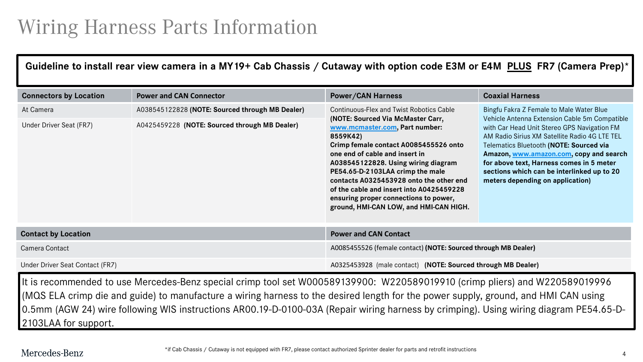# Wiring Harness Parts Information

#### **Guideline to install rear view camera in a MY19+ Cab Chassis / Cutaway with option code E3M or E4M PLUS FR7 (Camera Prep)\***

| <b>Connectors by Location</b>        | <b>Power and CAN Connector</b>                                                                   | <b>Power/CAN Harness</b>                                                                                                                                                                                                                                                                                                                                                                                                                                    | <b>Coaxial Harness</b>                                                                                                                                                                                                                                                                                                                                                                                        |
|--------------------------------------|--------------------------------------------------------------------------------------------------|-------------------------------------------------------------------------------------------------------------------------------------------------------------------------------------------------------------------------------------------------------------------------------------------------------------------------------------------------------------------------------------------------------------------------------------------------------------|---------------------------------------------------------------------------------------------------------------------------------------------------------------------------------------------------------------------------------------------------------------------------------------------------------------------------------------------------------------------------------------------------------------|
| At Camera<br>Under Driver Seat (FR7) | A038545122828 (NOTE: Sourced through MB Dealer)<br>A0425459228 (NOTE: Sourced through MB Dealer) | Continuous-Flex and Twist Robotics Cable<br>(NOTE: Sourced Via McMaster Carr,<br>www.mcmaster.com, Part number:<br>8559K42)<br>Crimp female contact A0085455526 onto<br>one end of cable and insert in<br>A038545122828. Using wiring diagram<br>PE54.65-D-2103LAA crimp the male<br>contacts A0325453928 onto the other end<br>of the cable and insert into A0425459228<br>ensuring proper connections to power,<br>ground, HMI-CAN LOW, and HMI-CAN HIGH. | Bingfu Fakra Z Female to Male Water Blue<br>Vehicle Antenna Extension Cable 5m Compatible<br>with Car Head Unit Stereo GPS Navigation FM<br>AM Radio Sirius XM Satellite Radio 4G LTE TEL<br>Telematics Bluetooth (NOTE: Sourced via<br>Amazon, www.amazon.com, copy and search<br>for above text, Harness comes in 5 meter<br>sections which can be interlinked up to 20<br>meters depending on application) |
| <b>Contact by Location</b>           |                                                                                                  | <b>Power and CAN Contact</b>                                                                                                                                                                                                                                                                                                                                                                                                                                |                                                                                                                                                                                                                                                                                                                                                                                                               |
| Camera Contact                       |                                                                                                  | A0085455526 (female contact) (NOTE: Sourced through MB Dealer)                                                                                                                                                                                                                                                                                                                                                                                              |                                                                                                                                                                                                                                                                                                                                                                                                               |
| Under Driver Seat Contact (FR7)      |                                                                                                  | A0325453928 (male contact) (NOTE: Sourced through MB Dealer)                                                                                                                                                                                                                                                                                                                                                                                                |                                                                                                                                                                                                                                                                                                                                                                                                               |

It is recommended to use Mercedes-Benz special crimp tool set W000589139900: W220589019910 (crimp pliers) and W220589019996 (MQS ELA crimp die and guide) to manufacture a wiring harness to the desired length for the power supply, ground, and HMI CAN using 0.5mm (AGW 24) wire following WIS instructions AR00.19-D-0100-03A (Repair wiring harness by crimping). Using wiring diagram PE54.65-D-2103LAA for support.

Mercedes-Benz